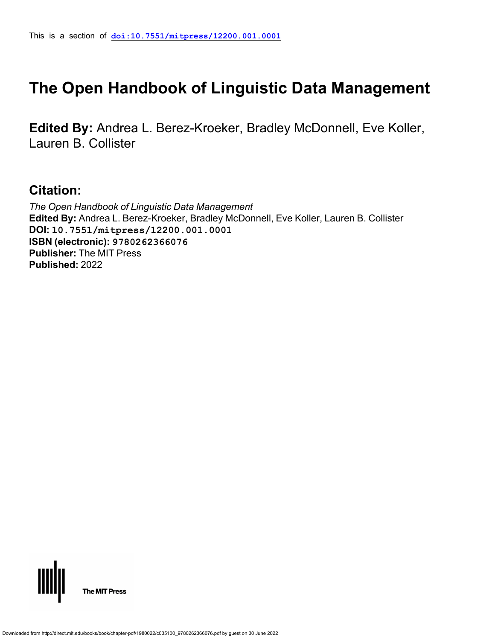# **The Open Handbook of Linguistic Data Management**

**Edited By:** Andrea L. Berez-Kroeker, Bradley McDonnell, Eve Koller, Lauren B. Collister

# **Citation:**

*The Open Handbook of Linguistic Data Management* **Edited By:** Andrea L. Berez-Kroeker, Bradley McDonnell, Eve Koller, Lauren B. Collister **DOI: 10.7551/mitpress/12200.001.0001 ISBN (electronic): 9780262366076 Publisher:** The MIT Press **Published:** 2022



**The MIT Press**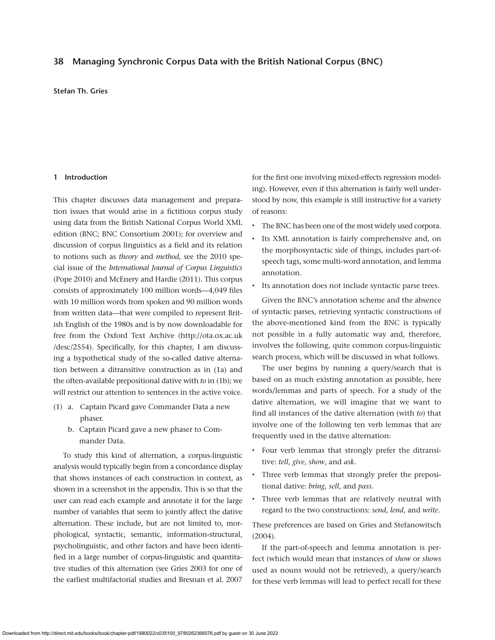# **38 Managing Synchronic Corpus Data with the British National Corpus (BNC)**

# **Stefan Th. Gries**

# **1 Introduction**

This chapter discusses data management and preparation issues that would arise in a fictitious corpus study using data from the British National Corpus World XML edition (BNC; BNC Consortium 2001); for overview and discussion of corpus linguistics as a field and its relation to notions such as *theory* and *method*, see the 2010 special issue of the *International Journal of Corpus Linguistics* (Pope 2010) and McEnery and Hardie (2011). This corpus consists of approximately 100 million words—4,049 files with 10 million words from spoken and 90 million words from written data—that were compiled to represent British English of the 1980s and is by now downloadable for free from the Oxford Text Archive [\(http://ota.ox.ac.uk](http://ota.ox.ac.uk/desc/2554) [/desc/2554\)](http://ota.ox.ac.uk/desc/2554). Specifically, for this chapter, I am discussing a hypothetical study of the so-called dative alternation between a ditransitive construction as in (1a) and the often-available prepositional dative with *to* in (1b); we will restrict our attention to sentences in the active voice.

- (1) a. Captain Picard gave Commander Data a new phaser.
	- b. Captain Picard gave a new phaser to Commander Data.

To study this kind of alternation, a corpus-linguistic analysis would typically begin from a concordance display that shows instances of each construction in context, as shown in a screenshot in the appendix. This is so that the user can read each example and annotate it for the large number of variables that seem to jointly affect the dative alternation. These include, but are not limited to, morphological, syntactic, semantic, information-structural, psycholinguistic, and other factors and have been identified in a large number of corpus-linguistic and quantitative studies of this alternation (see Gries 2003 for one of the earliest multifactorial studies and Bresnan et al. 2007

for the first one involving mixed-effects regression modeling). However, even if this alternation is fairly well understood by now, this example is still instructive for a variety of reasons:

- The BNC has been one of the most widely used corpora.
- Its XML annotation is fairly comprehensive and, on the morphosyntactic side of things, includes part-ofspeech tags, some multi-word annotation, and lemma annotation.
- Its annotation does not include syntactic parse trees.

Given the BNC's annotation scheme and the absence of syntactic parses, retrieving syntactic constructions of the above-mentioned kind from the BNC is typically not possible in a fully automatic way and, therefore, involves the following, quite common corpus-linguistic search process, which will be discussed in what follows.

The user begins by running a query/search that is based on as much existing annotation as possible, here words/lemmas and parts of speech. For a study of the dative alternation, we will imagine that we want to find all instances of the dative alternation (with *to*) that involve one of the following ten verb lemmas that are frequently used in the dative alternation:

- Four verb lemmas that strongly prefer the ditransitive: *tell*, *give*, *show*, and *ask*.
- Three verb lemmas that strongly prefer the prepositional dative: *bring*, *sell*, and *pass*.
- Three verb lemmas that are relatively neutral with regard to the two constructions: *send*, *lend*, and *write*.

These preferences are based on Gries and Stefanowitsch (2004).

If the part-of-speech and lemma annotation is perfect (which would mean that instances of *show* or *shows* used as nouns would not be retrieved), a query/search for these verb lemmas will lead to perfect recall for these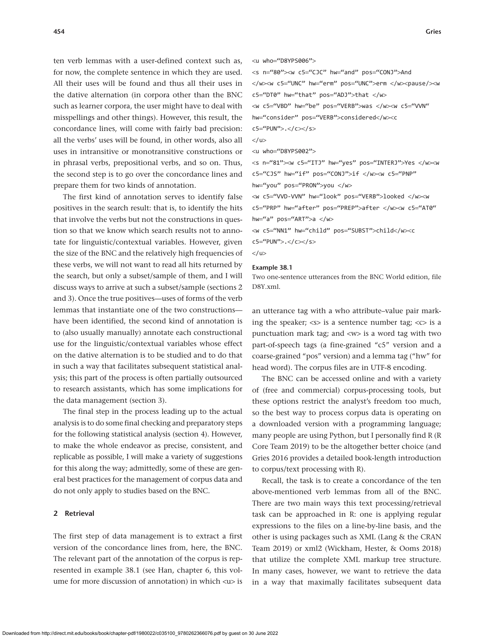ten verb lemmas with a user-defined context such as, for now, the complete sentence in which they are used. All their uses will be found and thus all their uses in the dative alternation (in corpora other than the BNC such as learner corpora, the user might have to deal with misspellings and other things). However, this result, the concordance lines, will come with fairly bad precision: all the verbs' uses will be found, in other words, also all uses in intransitive or monotransitive constructions or in phrasal verbs, prepositional verbs, and so on. Thus, the second step is to go over the concordance lines and prepare them for two kinds of annotation.

The first kind of annotation serves to identify false positives in the search result: that is, to identify the hits that involve the verbs but not the constructions in question so that we know which search results not to annotate for linguistic/contextual variables. However, given the size of the BNC and the relatively high frequencies of these verbs, we will not want to read all hits returned by the search, but only a subset/sample of them, and I will discuss ways to arrive at such a subset/sample (sections 2 and 3). Once the true positives—uses of forms of the verb lemmas that instantiate one of the two constructions have been identified, the second kind of annotation is to (also usually manually) annotate each constructional use for the linguistic/contextual variables whose effect on the dative alternation is to be studied and to do that in such a way that facilitates subsequent statistical analysis; this part of the process is often partially outsourced to research assistants, which has some implications for the data management (section 3).

The final step in the process leading up to the actual analysis is to do some final checking and preparatory steps for the following statistical analysis (section 4). However, to make the whole endeavor as precise, consistent, and replicable as possible, I will make a variety of suggestions for this along the way; admittedly, some of these are general best practices for the management of corpus data and do not only apply to studies based on the BNC.

# **2 Retrieval**

The first step of data management is to extract a first version of the concordance lines from, here, the BNC. The relevant part of the annotation of the corpus is represented in example 38.1 (see Han, chapter 6, this volume for more discussion of annotation</u>) in which  $\langle u \rangle$  is

```
<u who="D8YPS006">
```
<s n="80"><w c5="CJC" hw="and" pos="CONJ">And </w><w c5="UNC" hw="erm" pos="UNC">erm </w><pause/><w c5="DT0" hw="that" pos="ADJ">that </w> <w c5="VBD" hw="be" pos="VERB">was </w><w c5="VVN" hw="consider" pos="VERB">considered</w><c c5="PUN">.</c></s>  $<$ /u> <u who="D8YPS002"> <s n="81"><w c5="ITJ" hw="yes" pos="INTERJ">Yes </w><w c5="CJS" hw="if" pos="CONJ">if </w><w c5="PNP" hw="you" pos="PRON">you </w> <w c5="VVD-VVN" hw="look" pos="VERB">looked </w><w c5="PRP" hw="after" pos="PREP">after </w><w c5="AT0" hw="a" pos="ART">a </w> <w c5="NN1" hw="child" pos="SUBST">child</w><c c5="PUN">.</c></s>

 $<$ /u>

#### **Example 38.1**

Two one-sentence utterances from the BNC World edition, file D8Y.xml.

an utterance tag with a who attribute–value pair marking the speaker;  $\langle s \rangle$  is a sentence number tag;  $\langle c \rangle$  is a punctuation mark tag; and <w> is a word tag with two part-of-speech tags (a fine-grained "c5" version and a coarse-grained "pos" version) and a lemma tag ("hw" for head word). The corpus files are in UTF-8 encoding.

The BNC can be accessed online and with a variety of (free and commercial) corpus-processing tools, but these options restrict the analyst's freedom too much, so the best way to process corpus data is operating on a downloaded version with a programming language; many people are using Python, but I personally find R (R Core Team 2019) to be the altogether better choice (and Gries 2016 provides a detailed book-length introduction to corpus/text processing with R).

Recall, the task is to create a concordance of the ten above-mentioned verb lemmas from all of the BNC. There are two main ways this text processing/retrieval task can be approached in R: one is applying regular expressions to the files on a line-by-line basis, and the other is using packages such as XML (Lang & the CRAN Team 2019) or xml2 (Wickham, Hester, & Ooms 2018) that utilize the complete XML markup tree structure. In many cases, however, we want to retrieve the data in a way that maximally facilitates subsequent data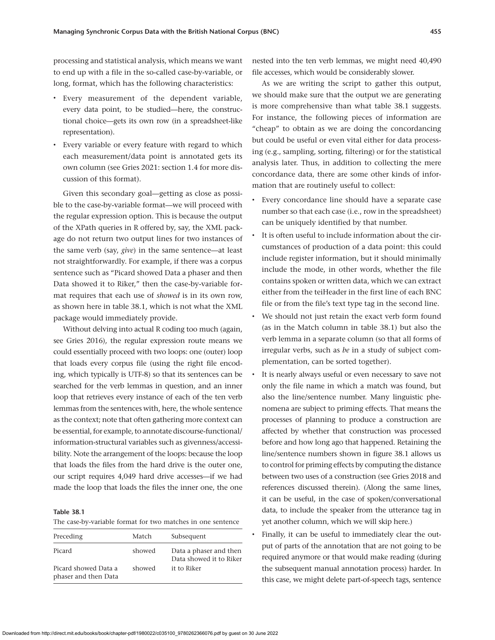- Every measurement of the dependent variable, every data point, to be studied—here, the constructional choice—gets its own row (in a spreadsheet-like representation).
- Every variable or every feature with regard to which each measurement/data point is annotated gets its own column (see Gries 2021: section 1.4 for more discussion of this format).

Given this secondary goal—getting as close as possible to the case-by-variable format—we will proceed with the regular expression option. This is because the output of the XPath queries in R offered by, say, the XML package do not return two output lines for two instances of the same verb (say, *give*) in the same sentence—at least not straightforwardly. For example, if there was a corpus sentence such as "Picard showed Data a phaser and then Data showed it to Riker," then the case-by-variable format requires that each use of *showed* is in its own row, as shown here in table 38.1, which is not what the XML package would immediately provide.

Without delving into actual R coding too much (again, see Gries 2016), the regular expression route means we could essentially proceed with two loops: one (outer) loop that loads every corpus file (using the right file encoding, which typically is UTF-8) so that its sentences can be searched for the verb lemmas in question, and an inner loop that retrieves every instance of each of the ten verb lemmas from the sentences with, here, the whole sentence as the context; note that often gathering more context can be essential, for example, to annotate discourse-functional/ information-structural variables such as givenness/accessibility. Note the arrangement of the loops: because the loop that loads the files from the hard drive is the outer one, our script requires 4,049 hard drive accesses—if we had made the loop that loads the files the inner one, the one

#### **Table 38.1**

The case-by-variable format for two matches in one sentence

| Preceding                                    | Match  | Subsequent                                        |
|----------------------------------------------|--------|---------------------------------------------------|
| Picard                                       | showed | Data a phaser and then<br>Data showed it to Riker |
| Picard showed Data a<br>phaser and then Data | showed | it to Riker                                       |

nested into the ten verb lemmas, we might need 40,490 file accesses, which would be considerably slower.

As we are writing the script to gather this output, we should make sure that the output we are generating is more comprehensive than what table 38.1 suggests. For instance, the following pieces of information are "cheap" to obtain as we are doing the concordancing but could be useful or even vital either for data processing (e.g., sampling, sorting, filtering) or for the statistical analysis later. Thus, in addition to collecting the mere concordance data, there are some other kinds of information that are routinely useful to collect:

- Every concordance line should have a separate case number so that each case (i.e., row in the spreadsheet) can be uniquely identified by that number.
- It is often useful to include information about the circumstances of production of a data point: this could include register information, but it should minimally include the mode, in other words, whether the file contains spoken or written data, which we can extract either from the teiHeader in the first line of each BNC file or from the file's text type tag in the second line.
- We should not just retain the exact verb form found (as in the Match column in table 38.1) but also the verb lemma in a separate column (so that all forms of irregular verbs, such as *be* in a study of subject complementation, can be sorted together).
- It is nearly always useful or even necessary to save not only the file name in which a match was found, but also the line/sentence number. Many linguistic phenomena are subject to priming effects. That means the processes of planning to produce a construction are affected by whether that construction was processed before and how long ago that happened. Retaining the line/sentence numbers shown in figure 38.1 allows us to control for priming effects by computing the distance between two uses of a construction (see Gries 2018 and references discussed therein). (Along the same lines, it can be useful, in the case of spoken/conversational data, to include the speaker from the utterance tag in yet another column, which we will skip here.)
- Finally, it can be useful to immediately clear the output of parts of the annotation that are not going to be required anymore or that would make reading (during the subsequent manual annotation process) harder. In this case, we might delete part-of-speech tags, sentence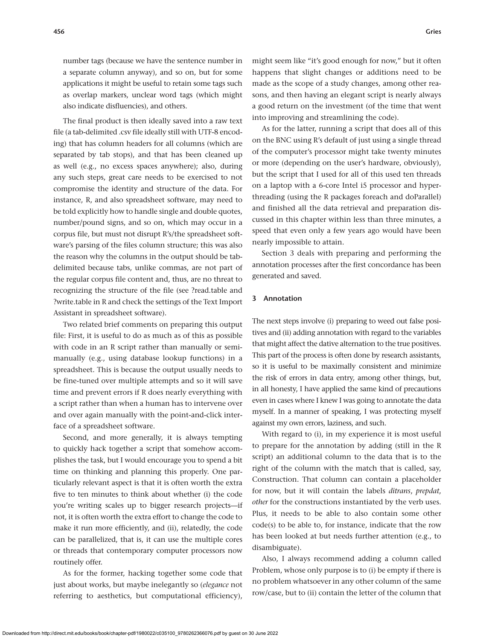number tags (because we have the sentence number in a separate column anyway), and so on, but for some applications it might be useful to retain some tags such as overlap markers, unclear word tags (which might also indicate disfluencies), and others.

The final product is then ideally saved into a raw text file (a tab-delimited .csv file ideally still with UTF-8 encoding) that has column headers for all columns (which are separated by tab stops), and that has been cleaned up as well (e.g., no excess spaces anywhere); also, during any such steps, great care needs to be exercised to not compromise the identity and structure of the data. For instance, R, and also spreadsheet software, may need to be told explicitly how to handle single and double quotes, number/pound signs, and so on, which may occur in a corpus file, but must not disrupt R's/the spreadsheet software's parsing of the files column structure; this was also the reason why the columns in the output should be tabdelimited because tabs, unlike commas, are not part of the regular corpus file content and, thus, are no threat to recognizing the structure of the file (see ?read.table and ?write.table in R and check the settings of the Text Import Assistant in spreadsheet software).

Two related brief comments on preparing this output file: First, it is useful to do as much as of this as possible with code in an R script rather than manually or semimanually (e.g., using database lookup functions) in a spreadsheet. This is because the output usually needs to be fine-tuned over multiple attempts and so it will save time and prevent errors if R does nearly everything with a script rather than when a human has to intervene over and over again manually with the point-and-click interface of a spreadsheet software.

Second, and more generally, it is always tempting to quickly hack together a script that somehow accomplishes the task, but I would encourage you to spend a bit time on thinking and planning this properly. One particularly relevant aspect is that it is often worth the extra five to ten minutes to think about whether (i) the code you're writing scales up to bigger research projects—if not, it is often worth the extra effort to change the code to make it run more efficiently, and (ii), relatedly, the code can be parallelized, that is, it can use the multiple cores or threads that contemporary computer processors now routinely offer.

As for the former, hacking together some code that just about works, but maybe inelegantly so (*elegance* not referring to aesthetics, but computational efficiency), might seem like "it's good enough for now," but it often happens that slight changes or additions need to be made as the scope of a study changes, among other reasons, and then having an elegant script is nearly always a good return on the investment (of the time that went into improving and streamlining the code).

As for the latter, running a script that does all of this on the BNC using R's default of just using a single thread of the computer's processor might take twenty minutes or more (depending on the user's hardware, obviously), but the script that I used for all of this used ten threads on a laptop with a 6-core Intel i5 processor and hyperthreading (using the R packages foreach and doParallel) and finished all the data retrieval and preparation discussed in this chapter within less than three minutes, a speed that even only a few years ago would have been nearly impossible to attain.

Section 3 deals with preparing and performing the annotation processes after the first concordance has been generated and saved.

# **3 Annotation**

The next steps involve (i) preparing to weed out false positives and (ii) adding annotation with regard to the variables that might affect the dative alternation to the true positives. This part of the process is often done by research assistants, so it is useful to be maximally consistent and minimize the risk of errors in data entry, among other things, but, in all honesty, I have applied the same kind of precautions even in cases where I knew I was going to annotate the data myself. In a manner of speaking, I was protecting myself against my own errors, laziness, and such.

With regard to (i), in my experience it is most useful to prepare for the annotation by adding (still in the R script) an additional column to the data that is to the right of the column with the match that is called, say, Construction. That column can contain a placeholder for now, but it will contain the labels *ditrans*, *prepdat*, *other* for the constructions instantiated by the verb uses. Plus, it needs to be able to also contain some other code(s) to be able to, for instance, indicate that the row has been looked at but needs further attention (e.g., to disambiguate).

Also, I always recommend adding a column called Problem, whose only purpose is to (i) be empty if there is no problem whatsoever in any other column of the same row/case, but to (ii) contain the letter of the column that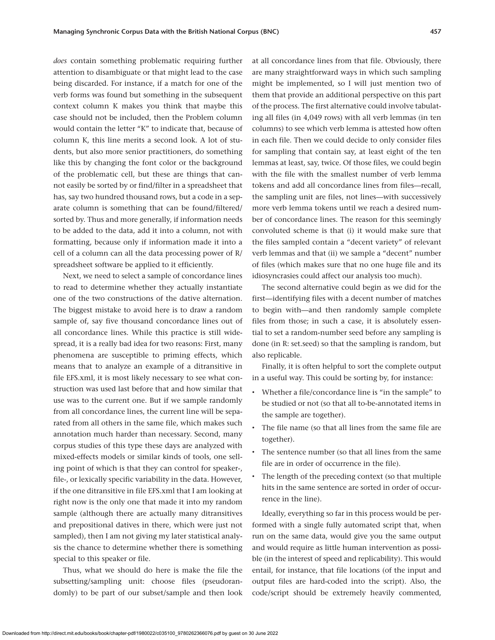*does* contain something problematic requiring further attention to disambiguate or that might lead to the case being discarded. For instance, if a match for one of the verb forms was found but something in the subsequent context column K makes you think that maybe this case should not be included, then the Problem column would contain the letter "K" to indicate that, because of column K, this line merits a second look. A lot of students, but also more senior practitioners, do something like this by changing the font color or the background of the problematic cell, but these are things that cannot easily be sorted by or find/filter in a spreadsheet that has, say two hundred thousand rows, but a code in a separate column is something that can be found/filtered/ sorted by. Thus and more generally, if information needs to be added to the data, add it into a column, not with formatting, because only if information made it into a cell of a column can all the data processing power of R/ spreadsheet software be applied to it efficiently.

Next, we need to select a sample of concordance lines to read to determine whether they actually instantiate one of the two constructions of the dative alternation. The biggest mistake to avoid here is to draw a random sample of, say five thousand concordance lines out of all concordance lines. While this practice is still widespread, it is a really bad idea for two reasons: First, many phenomena are susceptible to priming effects, which means that to analyze an example of a ditransitive in file EFS.xml, it is most likely necessary to see what construction was used last before that and how similar that use was to the current one. But if we sample randomly from all concordance lines, the current line will be separated from all others in the same file, which makes such annotation much harder than necessary. Second, many corpus studies of this type these days are analyzed with mixed-effects models or similar kinds of tools, one selling point of which is that they can control for speaker-, file-, or lexically specific variability in the data. However, if the one ditransitive in file EFS.xml that I am looking at right now is the only one that made it into my random sample (although there are actually many ditransitives and prepositional datives in there, which were just not sampled), then I am not giving my later statistical analysis the chance to determine whether there is something special to this speaker or file.

Thus, what we should do here is make the file the subsetting/sampling unit: choose files (pseudorandomly) to be part of our subset/sample and then look

at all concordance lines from that file. Obviously, there are many straightforward ways in which such sampling might be implemented, so I will just mention two of them that provide an additional perspective on this part of the process. The first alternative could involve tabulating all files (in 4,049 rows) with all verb lemmas (in ten columns) to see which verb lemma is attested how often in each file. Then we could decide to only consider files for sampling that contain say, at least eight of the ten lemmas at least, say, twice. Of those files, we could begin with the file with the smallest number of verb lemma tokens and add all concordance lines from files—recall, the sampling unit are files, not lines—with successively more verb lemma tokens until we reach a desired number of concordance lines. The reason for this seemingly convoluted scheme is that (i) it would make sure that the files sampled contain a "decent variety" of relevant verb lemmas and that (ii) we sample a "decent" number of files (which makes sure that no one huge file and its idiosyncrasies could affect our analysis too much).

The second alternative could begin as we did for the first—identifying files with a decent number of matches to begin with—and then randomly sample complete files from those; in such a case, it is absolutely essential to set a random-number seed before any sampling is done (in R: set.seed) so that the sampling is random, but also replicable.

Finally, it is often helpful to sort the complete output in a useful way. This could be sorting by, for instance:

- Whether a file/concordance line is "in the sample" to be studied or not (so that all to-be-annotated items in the sample are together).
- The file name (so that all lines from the same file are together).
- The sentence number (so that all lines from the same file are in order of occurrence in the file).
- The length of the preceding context (so that multiple hits in the same sentence are sorted in order of occurrence in the line).

Ideally, everything so far in this process would be performed with a single fully automated script that, when run on the same data, would give you the same output and would require as little human intervention as possible (in the interest of speed and replicability). This would entail, for instance, that file locations (of the input and output files are hard-coded into the script). Also, the code/script should be extremely heavily commented,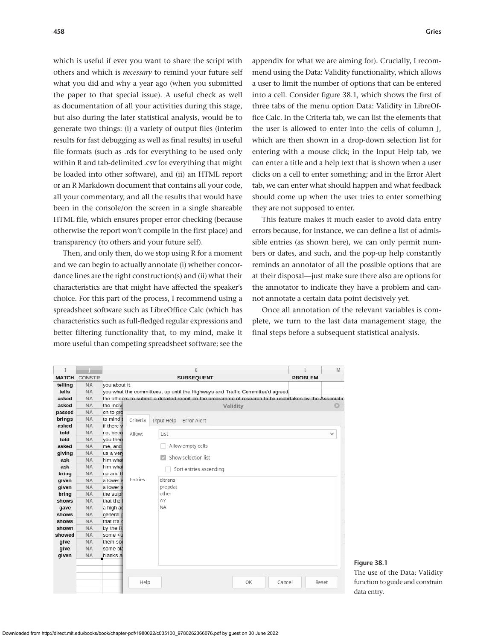which is useful if ever you want to share the script with others and which is *necessary* to remind your future self what you did and why a year ago (when you submitted the paper to that special issue). A useful check as well as documentation of all your activities during this stage, but also during the later statistical analysis, would be to generate two things: (i) a variety of output files (interim results for fast debugging as well as final results) in useful file formats (such as .rds for everything to be used only within R and tab-delimited .csv for everything that might be loaded into other software), and (ii) an HTML report or an R Markdown document that contains all your code, all your commentary, and all the results that would have been in the console/on the screen in a single shareable HTML file, which ensures proper error checking (because otherwise the report won't compile in the first place) and transparency (to others and your future self).

Then, and only then, do we stop using R for a moment and we can begin to actually annotate (i) whether concordance lines are the right construction(s) and (ii) what their characteristics are that might have affected the speaker's choice. For this part of the process, I recommend using a spreadsheet software such as LibreOffice Calc (which has characteristics such as full-fledged regular expressions and better filtering functionality that, to my mind, make it more useful than competing spreadsheet software; see the

appendix for what we are aiming for). Crucially, I recommend using the Data: Validity functionality, which allows a user to limit the number of options that can be entered into a cell. Consider figure 38.1, which shows the first of three tabs of the menu option Data: Validity in LibreOffice Calc. In the Criteria tab, we can list the elements that the user is allowed to enter into the cells of column J, which are then shown in a drop-down selection list for entering with a mouse click; in the Input Help tab, we can enter a title and a help text that is shown when a user clicks on a cell to enter something; and in the Error Alert tab, we can enter what should happen and what feedback should come up when the user tries to enter something they are not supposed to enter.

This feature makes it much easier to avoid data entry errors because, for instance, we can define a list of admissible entries (as shown here), we can only permit numbers or dates, and such, and the pop-up help constantly reminds an annotator of all the possible options that are at their disposal—just make sure there also are options for the annotator to indicate they have a problem and cannot annotate a certain data point decisively yet.

Once all annotation of the relevant variables is complete, we turn to the last data management stage, the final steps before a subsequent statistical analysis.

| T            | ٠             |                       | K                                                                                                        | L               | M            |
|--------------|---------------|-----------------------|----------------------------------------------------------------------------------------------------------|-----------------|--------------|
| <b>MATCH</b> | <b>CONSTR</b> |                       | <b>PROBLEM</b>                                                                                           |                 |              |
| telling      | <b>NA</b>     | vou about it.         |                                                                                                          |                 |              |
| tells        | <b>NA</b>     |                       | you what the committees, up until the Highways and Traffic Committee'd agreed.                           |                 |              |
| asked        | <b>NA</b>     |                       | the officers to submit a detailed report on the programme of research to be undertaken by the Associatio |                 |              |
| asked        | <b>NA</b>     | the indivi            | Validity                                                                                                 |                 | ø            |
| passed       | <b>NA</b>     | on to gro             |                                                                                                          |                 |              |
| brings       | <b>NA</b>     | to mind t<br>Criteria | Input Help<br>Error Alert                                                                                |                 |              |
| asked        | <b>NA</b>     | if there w            |                                                                                                          |                 |              |
| told         | <b>NA</b>     | no, beca<br>Allow:    | List                                                                                                     |                 | $\checkmark$ |
| told         | <b>NA</b>     | you there             |                                                                                                          |                 |              |
| asked        | <b>NA</b>     | me, and               | Allow empty cells                                                                                        |                 |              |
| giving       | <b>NA</b>     | us a ven              | Show selection list                                                                                      |                 |              |
| ask          | <b>NA</b>     | him what              |                                                                                                          |                 |              |
| ask          | <b>NA</b>     | him what              | Sort entries ascending                                                                                   |                 |              |
| bring        | <b>NA</b>     | up and th             |                                                                                                          |                 |              |
| given        | <b>NA</b>     | Entries<br>a lower s  | ditrans                                                                                                  |                 |              |
| given        | <b>NA</b>     | a lower s             | prepdat                                                                                                  |                 |              |
| bring        | <b>NA</b>     | the sulph             | other                                                                                                    |                 |              |
| shows        | <b>NA</b>     | that the              | 77?                                                                                                      |                 |              |
| gave         | <b>NA</b>     | a high ad             | <b>NA</b>                                                                                                |                 |              |
| shows        | <b>NA</b>     | general               |                                                                                                          |                 |              |
| shows        | <b>NA</b>     | that it's             |                                                                                                          |                 |              |
| shown        | <b>NA</b>     | by the R              |                                                                                                          |                 |              |
| showed       | <b>NA</b>     | some $\leq$ u         |                                                                                                          |                 |              |
| give         | <b>NA</b>     | them sor              |                                                                                                          |                 |              |
| qive         | <b>NA</b>     | some bla              |                                                                                                          |                 |              |
| given        | <b>NA</b>     | blanks a              |                                                                                                          |                 |              |
|              |               | Help                  | OK                                                                                                       | Cancel<br>Reset |              |

#### **Figure 38.1**

The use of the Data: Validity function to guide and constrain data entry.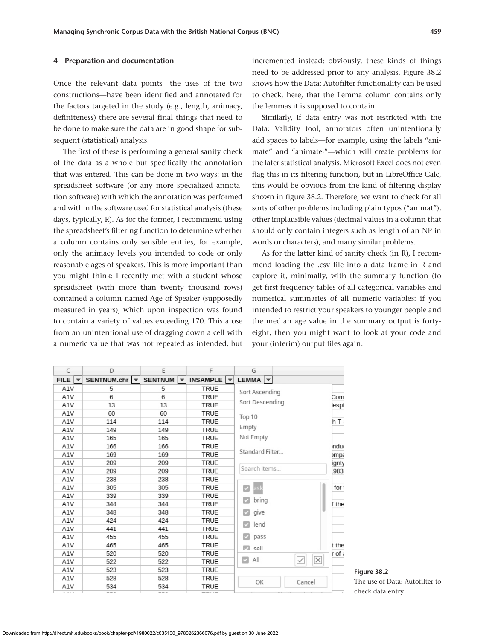#### **4 Preparation and documentation**

Once the relevant data points—the uses of the two constructions—have been identified and annotated for the factors targeted in the study (e.g., length, animacy, definiteness) there are several final things that need to be done to make sure the data are in good shape for subsequent (statistical) analysis.

The first of these is performing a general sanity check of the data as a whole but specifically the annotation that was entered. This can be done in two ways: in the spreadsheet software (or any more specialized annotation software) with which the annotation was performed and within the software used for statistical analysis (these days, typically, R). As for the former, I recommend using the spreadsheet's filtering function to determine whether a column contains only sensible entries, for example, only the animacy levels you intended to code or only reasonable ages of speakers. This is more important than you might think: I recently met with a student whose spreadsheet (with more than twenty thousand rows) contained a column named Age of Speaker (supposedly measured in years), which upon inspection was found to contain a variety of values exceeding 170. This arose from an unintentional use of dragging down a cell with a numeric value that was not repeated as intended, but

incremented instead; obviously, these kinds of things need to be addressed prior to any analysis. Figure 38.2 shows how the Data: Autofilter functionality can be used to check, here, that the Lemma column contains only the lemmas it is supposed to contain.

Similarly, if data entry was not restricted with the Data: Validity tool, annotators often unintentionally add spaces to labels—for example, using the labels "animate" and "animate·"—which will create problems for the later statistical analysis. Microsoft Excel does not even flag this in its filtering function, but in LibreOffice Calc, this would be obvious from the kind of filtering display shown in figure 38.2. Therefore, we want to check for all sorts of other problems including plain typos ("animat"), other implausible values (decimal values in a column that should only contain integers such as length of an NP in words or characters), and many similar problems.

As for the latter kind of sanity check (in R), I recommend loading the .csv file into a data frame in R and explore it, minimally, with the summary function (to get first frequency tables of all categorical variables and numerical summaries of all numeric variables: if you intended to restrict your speakers to younger people and the median age value in the summary output is fortyeight, then you might want to look at your code and your (interim) output files again.

| C               | D                         | E   | F                        | G                                         |        |
|-----------------|---------------------------|-----|--------------------------|-------------------------------------------|--------|
| $FILE   \nabla$ | SENTNUM.chr   SENTNUM   V |     | $INSAMPLE$ $\rightarrow$ | LEMMA $\overline{\mathbf{y}}$             |        |
| A1V             | 5                         | 5   | <b>TRUE</b>              | Sort Ascending                            |        |
| A1V             | 6                         | 6   | <b>TRUE</b>              |                                           | Com    |
| A1V             | 13                        | 13  | <b>TRUE</b>              | Sort Descending                           | lespi  |
| A1V             | 60                        | 60  | <b>TRUE</b>              | Top 10                                    |        |
| A1V             | 114                       | 114 | <b>TRUE</b>              |                                           | h T :  |
| A1V             | 149                       | 149 | <b>TRUE</b>              | Empty                                     |        |
| A1V             | 165                       | 165 | <b>TRUE</b>              | Not Empty                                 |        |
| A1V             | 166                       | 166 | <b>TRUE</b>              |                                           | indu   |
| A1V             | 169                       | 169 | <b>TRUE</b>              | Standard Filter                           | pmpa   |
| A1V             | 209                       | 209 | <b>TRUE</b>              |                                           | ignty  |
| A1V             | 209                       | 209 | <b>TRUE</b>              | Search items                              | 1983.  |
| A1V             | 238                       | 238 | <b>TRUE</b>              |                                           |        |
| A1V             | 305                       | 305 | <b>TRUE</b>              | $\checkmark$<br>ask                       | for t  |
| A1V             | 339                       | 339 | <b>TRUE</b>              | ø<br>bring                                |        |
| A1V             | 344                       | 344 | <b>TRUE</b>              |                                           | f the  |
| A1V             | 348                       | 348 | <b>TRUE</b>              | M<br>give                                 |        |
| A1V             | 424                       | 424 | <b>TRUE</b>              | M<br>lend                                 |        |
| A1V             | 441                       | 441 | <b>TRUE</b>              |                                           |        |
| A1V             | 455                       | 455 | <b>TRUE</b>              | ø<br>pass                                 |        |
| A1V             | 465                       | 465 | <b>TRUE</b>              | $\sim$<br>sell                            | t the  |
| A1V             | 520                       | 520 | <b>TRUE</b>              |                                           | r of a |
| A1V             | 522                       | 522 | <b>TRUE</b>              | $\times$<br>$\checkmark$<br>$\sim$<br>All |        |
| A1V             | 523                       | 523 | <b>TRUE</b>              |                                           |        |
| A1V             | 528                       | 528 | <b>TRUE</b>              | OK<br>Cancel                              |        |
| A1V             | 534                       | 534 | <b>TRUE</b>              |                                           |        |
| .               | ---                       | --- |                          |                                           |        |

**Figure 38.2** The use of Data: Autofilter to check data entry.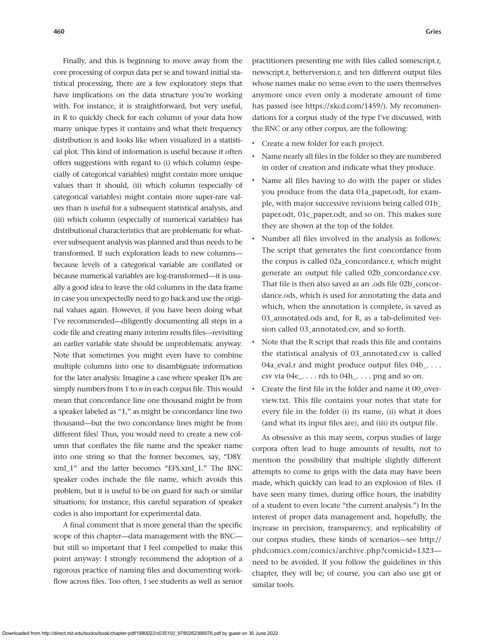Finally, and this is beginning to move away from the core processing of corpus data per se and toward initial statistical processing, there are a few exploratory steps that have implications on the data structure you're working with. For instance, it is straightforward, but very useful, in R to quickly check for each column of your data how many unique types it contains and what their frequency distribution is and looks like when visualized in a statistical plot. This kind of information is useful because it often offers suggestions with regard to (i) which column (especially of categorical variables) might contain more unique values than it should, (ii) which column (especially of categorical variables) might contain more super-rare values than is useful for a subsequent statistical analysis, and (iii) which column (especially of numerical variables) has distributional characteristics that are problematic for whatever subsequent analysis was planned and thus needs to be transformed. If such exploration leads to new columns because levels of a categorical variable are conflated or because numerical variables are log-transformed—it is usually a good idea to leave the old columns in the data frame in case you unexpectedly need to go back and use the original values again. However, if you have been doing what I've recommended—diligently documenting all steps in a code file and creating many interim results files—revisiting an earlier variable state should be unproblematic anyway. Note that sometimes you might even have to combine multiple columns into one to disambiguate information for the later analysis: Imagine a case where speaker IDs are simply numbers from 1 to *n* in each corpus file. This would mean that concordance line one thousand might be from a speaker labeled as "1," as might be concordance line two thousand—but the two concordance lines might be from different files! Thus, you would need to create a new column that conflates the file name and the speaker name into one string so that the former becomes, say, "D8Y. xml\_1" and the latter becomes "EFS.xml\_1." The BNC speaker codes include the file name, which avoids this problem, but it is useful to be on guard for such or similar situations; for instance, this careful separation of speaker codes is also important for experimental data.

A final comment that is more general than the specific scope of this chapter—data management with the BNC but still so important that I feel compelled to make this point anyway: I strongly recommend the adoption of a rigorous practice of naming files and documenting workflow across files. Too often, I see students as well as senior

practitioners presenting me with files called somescript.r, newscript.r, betterversion.r, and ten different output files whose names make no sense even to the users themselves anymore once even only a moderate amount of time has passed (see [https://xkcd.com/1459/\)](https://xkcd.com/1459/). My recommendations for a corpus study of the type I've discussed, with the BNC or any other corpus, are the following:

- Create a new folder for each project.
- Name nearly all files in the folder so they are numbered in order of creation and indicate what they produce.
- Name all files having to do with the paper or slides you produce from the data 01a\_paper.odt, for example, with major successive revisions being called 01b\_ paper.odt, 01c\_paper.odt, and so on. This makes sure they are shown at the top of the folder.
- Number all files involved in the analysis as follows: The script that generates the first concordance from the corpus is called 02a\_concordance.r, which might generate an output file called 02b\_concordance.csv. That file is then also saved as an .ods file 02b\_concordance.ods, which is used for annotating the data and which, when the annotation is complete, is saved as 03\_annotated.ods and, for R, as a tab-delimited version called 03\_annotated.csv, and so forth.
- Note that the R script that reads this file and contains the statistical analysis of 03\_annotated.csv is called 04a\_eval.r and might produce output files 04b\_.... csv via  $04e_$ .  $\ldots$  rds to  $04h_$ .  $\ldots$  png and so on.
- Create the first file in the folder and name it 00\_overview.txt. This file contains your notes that state for every file in the folder (i) its name, (ii) what it does (and what its input files are), and (iii) its output file.

As obsessive as this may seem, corpus studies of large corpora often lead to huge amounts of results, not to mention the possibility that multiple slightly different attempts to come to grips with the data may have been made, which quickly can lead to an explosion of files. (I have seen many times, during office hours, the inability of a student to even locate "the current analysis.") In the interest of proper data management and, hopefully, the increase in precision, transparency, and replicability of our corpus studies, these kinds of scenarios—see [http://](http://phdcomics.com/comics/archive.php?comicid=1323—need) [phdcomics.com/comics/archive.php?comicid=1323](http://phdcomics.com/comics/archive.php?comicid=1323—need) [need](http://phdcomics.com/comics/archive.php?comicid=1323—need) to be avoided. If you follow the guidelines in this chapter, they will be; of course, you can also use git or similar tools.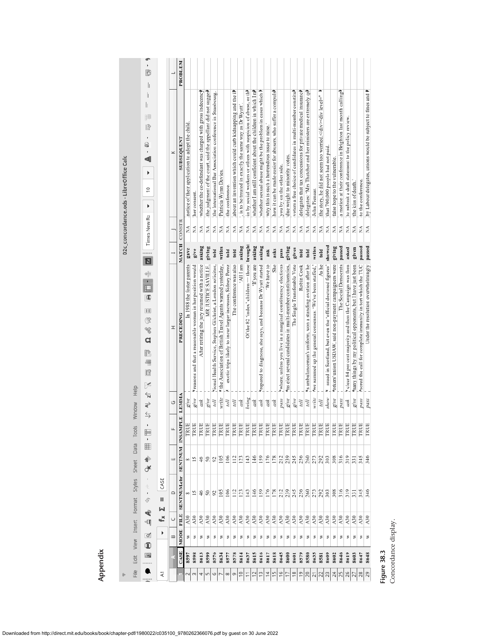|                                        |                    | $\blacktriangleright$<br>R<br>II                   |           |          | <b>PROBLEM</b>     |                                                |              |                                                           |                                                              |                                                             |                       |                 |                                                           |                                                        |                                                                |                                                                |                                                                                |                                               |                                                             |                           |                               |                                                              |                                                              |                                                             |                 |                                                                                                                                                                                                                                                                                                                                                                                                                                                                                                                                                                                                                                                                                                                                                                                                                                                                                                                                                                                                                                                                                                                                                                                                                                                                                                                                                                                                                                                                                                                                                                                                                                                                                                                                                                                                                                                                                                                                                                                                                                                                                                                                                                                                                                                                                                                                                                                                                                                                                                                                                                                                                                         |      |      |           |                            |                                                           |                                                |                     |                                                              |                                                              |                                                             |                         |          |                                    |             |                                                             |            |     |                                                             |                                                            |                              |            |                                                            |                                                           |       |                                                             |                                                         |                      |                                                            |                                                             |                                                            |                                     |
|----------------------------------------|--------------------|----------------------------------------------------|-----------|----------|--------------------|------------------------------------------------|--------------|-----------------------------------------------------------|--------------------------------------------------------------|-------------------------------------------------------------|-----------------------|-----------------|-----------------------------------------------------------|--------------------------------------------------------|----------------------------------------------------------------|----------------------------------------------------------------|--------------------------------------------------------------------------------|-----------------------------------------------|-------------------------------------------------------------|---------------------------|-------------------------------|--------------------------------------------------------------|--------------------------------------------------------------|-------------------------------------------------------------|-----------------|-----------------------------------------------------------------------------------------------------------------------------------------------------------------------------------------------------------------------------------------------------------------------------------------------------------------------------------------------------------------------------------------------------------------------------------------------------------------------------------------------------------------------------------------------------------------------------------------------------------------------------------------------------------------------------------------------------------------------------------------------------------------------------------------------------------------------------------------------------------------------------------------------------------------------------------------------------------------------------------------------------------------------------------------------------------------------------------------------------------------------------------------------------------------------------------------------------------------------------------------------------------------------------------------------------------------------------------------------------------------------------------------------------------------------------------------------------------------------------------------------------------------------------------------------------------------------------------------------------------------------------------------------------------------------------------------------------------------------------------------------------------------------------------------------------------------------------------------------------------------------------------------------------------------------------------------------------------------------------------------------------------------------------------------------------------------------------------------------------------------------------------------------------------------------------------------------------------------------------------------------------------------------------------------------------------------------------------------------------------------------------------------------------------------------------------------------------------------------------------------------------------------------------------------------------------------------------------------------------------------------------------------|------|------|-----------|----------------------------|-----------------------------------------------------------|------------------------------------------------|---------------------|--------------------------------------------------------------|--------------------------------------------------------------|-------------------------------------------------------------|-------------------------|----------|------------------------------------|-------------|-------------------------------------------------------------|------------|-----|-------------------------------------------------------------|------------------------------------------------------------|------------------------------|------------|------------------------------------------------------------|-----------------------------------------------------------|-------|-------------------------------------------------------------|---------------------------------------------------------|----------------------|------------------------------------------------------------|-------------------------------------------------------------|------------------------------------------------------------|-------------------------------------|
| 02c_concordance.ods - LibreOffice Calc |                    | II<br>胆<br>齢<br>9<br>₫<br>▶<br>$\frac{1}{2}$<br>Þ  |           | ×        | <b>SUBSEQUENT</b>  | notice of their application to adopt the child | her consent. | whether the co-defendant was charged with gross indecency | the judgment of the court, said the appellant did not sugges | the International Bar Association conference in Strasbourg. | Patricia Wynn Davies. | the conference. | about an invention which could curb kidnapping and the il | is to be treated in exactly the same way as Dr Wyatt', | in by social workers or others with suspicion of abuse, or the | whether I am still confident about the children in which I ral | whether sexual abuse might be the problem in cases which $\blacktriangleright$ | why this is such a horrendous issue to raise. | how it can be made easier for abusers, who suffer a compuls | you by on the other side. | due weight to minority votes. | voters a free choice of candidates in multi-member constitu- | delegates that tax concessions for private medical insurance | delegates: 'Mrs Thatcher and her ministers are extremely qu | John Pienaar.   | ▵<br>the story, he did not seem too worried. <div block"="" level="&lt;/td&gt;&lt;td&gt;that 700,000 people had not paid.&lt;/td&gt;&lt;td&gt;false hope to the vulnerable.&lt;/td&gt;&lt;td&gt;a motion at their conference in Brighton last month calling&lt;/td&gt;&lt;td&gt;to submit a draft statement to the policy review.&lt;/td&gt;&lt;td&gt;the kiss of death.'&lt;/td&gt;&lt;td&gt;to the conference.&lt;/td&gt;&lt;td&gt;by Labour delegates, unions would be subject to fines and &lt;math&gt;\theta&lt;/math&gt;&lt;/td&gt;&lt;/tr&gt;&lt;tr&gt;&lt;th&gt;&lt;/th&gt;&lt;th&gt;&lt;/th&gt;&lt;th&gt;Times New Ro&lt;/th&gt;&lt;th&gt;&lt;/th&gt;&lt;th&gt;&lt;/th&gt;&lt;th&gt;&lt;/th&gt;&lt;th&gt;NA&lt;/th&gt;&lt;th&gt;ŃÁ&lt;/th&gt;&lt;th&gt;NA&lt;/th&gt;&lt;th&gt;NA&lt;/th&gt;&lt;th&gt;ŃÅ&lt;/th&gt;&lt;th&gt;NA&lt;/th&gt;&lt;th&gt;MA&lt;/th&gt;&lt;th&gt;NA&lt;/th&gt;&lt;th&gt;ŃÅ&lt;/th&gt;&lt;th&gt;NA&lt;/th&gt;&lt;th&gt;Ź&lt;/th&gt;&lt;th&gt;NA&lt;/th&gt;&lt;th&gt;NA&lt;/th&gt;&lt;th&gt;ŃÅ&lt;/th&gt;&lt;th&gt;NA&lt;/th&gt;&lt;th&gt;ŃÅ&lt;/th&gt;&lt;th&gt;NA&lt;/th&gt;&lt;th&gt;ŃÁ&lt;/th&gt;&lt;th&gt;ŃÁ&lt;/th&gt;&lt;th&gt;ŃÁ&lt;/th&gt;&lt;th&gt;ŃÅ&lt;/th&gt;&lt;th&gt;ŃÁ&lt;/th&gt;&lt;th&gt;ŃA&lt;/th&gt;&lt;th&gt;MA&lt;/th&gt;&lt;th&gt;MA&lt;/th&gt;&lt;th&gt;ŃÁ&lt;/th&gt;&lt;th&gt;ŃÁ&lt;/th&gt;&lt;th&gt;NA&lt;/th&gt;&lt;/tr&gt;&lt;tr&gt;&lt;th&gt;&lt;/th&gt;&lt;th&gt;&lt;/th&gt;&lt;th&gt;&lt;br&gt;回&lt;/th&gt;&lt;th&gt;&lt;/th&gt;&lt;th&gt;&lt;/th&gt;&lt;th&gt;MATCH CONSTR&lt;/th&gt;&lt;th&gt;gave&lt;/th&gt;&lt;th&gt;give&lt;/th&gt;&lt;th&gt;asking&lt;/th&gt;&lt;th&gt;giving&lt;/th&gt;&lt;th&gt;told&lt;/th&gt;&lt;th&gt;writes&lt;/th&gt;&lt;th&gt;told&lt;/th&gt;&lt;th&gt;told&lt;/th&gt;&lt;th&gt;asking&lt;/th&gt;&lt;th&gt;brought&lt;/th&gt;&lt;th&gt;asking&lt;/th&gt;&lt;th&gt;asking&lt;/th&gt;&lt;th&gt;ask&lt;/th&gt;&lt;th&gt;asks&lt;/th&gt;&lt;th&gt;pass&lt;/th&gt;&lt;th&gt;giving&lt;/th&gt;&lt;th&gt;gives&lt;/th&gt;&lt;th&gt;told&lt;/th&gt;&lt;th&gt;told&lt;/th&gt;&lt;th&gt;writes&lt;/th&gt;&lt;th&gt;told&lt;/th&gt;&lt;th&gt;showed&lt;/th&gt;&lt;th&gt;giving&lt;/th&gt;&lt;th&gt;passed&lt;/th&gt;&lt;th&gt;asked&lt;/th&gt;&lt;th&gt;given&lt;/th&gt;&lt;th&gt;passed&lt;/th&gt;&lt;th&gt;passed&lt;/th&gt;&lt;/tr&gt;&lt;tr&gt;&lt;td&gt;&lt;/td&gt;&lt;td&gt;Help&lt;/td&gt;&lt;td&gt;&lt;math display=">\begin{array}{c} \Phi_{\text{1D}}^{\text{UL}} \\ \bullet \\ \end{array}<br/>E<br/>IJ<br/><math display="inline">\begin{smallmatrix} 0 &amp; 0 \end{smallmatrix}</math><br/>C<br/>q<br/>d<br/>R<br/>5<br/>ĽŶ<br/>y</div> |      | H    | PRECEDING | In 1988 the foster parents | reasons and that a reasonable woman in her position would | After retiring the jury returned with a notice | MR JUSTICE SAVILLE, | ional Health Service, Stephen Gilchrist, a London solicitor, | " the Association of British Travel Agents warned yesterday, | exotic trips likely to incur larger increases, Sidney Perez | The conference was also | All I am | Of the 82 'index' children - those | 'If you are | repared to diagnose, she says, and because Dr Wyatt started | We have to | She | where, unless you live in a marginal constituency elections | In sect several candidates in multi-member constituencies, | The Single Transferable Vote | Robin Cook | is ambulanceman's uniform, won a standing ovation after he | we summed up the general consensus: 'We've been stuffed,' | As he | ssued in Scotland, but even the 'official doctored figures' | Norkers' union USDAW, said non-payment campaigners were | The Social Democrats | vclear 84 per cent majority and then the Campaign was then | Many things by my political opponents, but I have just been | Aored the call for complete immunity in tort which the TUC | Under the resolution overwhelmingly |
|                                        | Window             | $\overline{4}$ $\overline{z}$<br>$\Leftrightarrow$ |           | U        | LENIMA             | give                                           | give         | ask                                                       | give                                                         | tell                                                        | write                 | tell            | tell                                                      | ask                                                    | bring                                                          | ask                                                            | ask                                                                            | ask                                           | ask                                                         | pass                      | give                          | give                                                         | tell                                                         | tell                                                        | write           | tell                                                                                                                                                                                                                                                                                                                                                                                                                                                                                                                                                                                                                                                                                                                                                                                                                                                                                                                                                                                                                                                                                                                                                                                                                                                                                                                                                                                                                                                                                                                                                                                                                                                                                                                                                                                                                                                                                                                                                                                                                                                                                                                                                                                                                                                                                                                                                                                                                                                                                                                                                                                                                                    | show | give | pass      | ask                        | $\mathbf{g}i\nu e$                                        | pass                                           | pass                |                                                              |                                                              |                                                             |                         |          |                                    |             |                                                             |            |     |                                                             |                                                            |                              |            |                                                            |                                                           |       |                                                             |                                                         |                      |                                                            |                                                             |                                                            |                                     |
|                                        | Tools              | ٠<br>Ħ<br>$\blacktriangleright$<br>▦               |           | Щ.       | SENTNUM INSAMPLE   | TRUE                                           | TRUE         | TRUE                                                      | TRUE                                                         | TRUE                                                        | TRUE                  | TRUE            | TRUE                                                      | TRUE                                                   | TRUE                                                           | TRUE                                                           | TRUE                                                                           | TRUE                                          | TRUE                                                        | TRUE                      | TRUE                          | TRUE                                                         | TRUE                                                         | TRUE                                                        | TRUE            | TRUE                                                                                                                                                                                                                                                                                                                                                                                                                                                                                                                                                                                                                                                                                                                                                                                                                                                                                                                                                                                                                                                                                                                                                                                                                                                                                                                                                                                                                                                                                                                                                                                                                                                                                                                                                                                                                                                                                                                                                                                                                                                                                                                                                                                                                                                                                                                                                                                                                                                                                                                                                                                                                                    | TRUE | TRUE | TRUE      | TRUE                       | <b>TRUE</b>                                               | TRUE                                           | TRUE                |                                                              |                                                              |                                                             |                         |          |                                    |             |                                                             |            |     |                                                             |                                                            |                              |            |                                                            |                                                           |       |                                                             |                                                         |                      |                                                            |                                                             |                                                            |                                     |
|                                        | Data<br>Sheet      | ீ<br>ð.                                            |           | ш        |                    | 8                                              | 51           | 46                                                        | 50                                                           | 92                                                          | 105                   | 106             | 112                                                       | 123                                                    | 143                                                            | 146                                                            | 159                                                                            | 176                                           | 178                                                         | 212                       | 239                           | 245                                                          | 256                                                          | 260                                                         | 273             | 292                                                                                                                                                                                                                                                                                                                                                                                                                                                                                                                                                                                                                                                                                                                                                                                                                                                                                                                                                                                                                                                                                                                                                                                                                                                                                                                                                                                                                                                                                                                                                                                                                                                                                                                                                                                                                                                                                                                                                                                                                                                                                                                                                                                                                                                                                                                                                                                                                                                                                                                                                                                                                                     | 303  | 308  | 316       | 319                        | 331                                                       | 345                                            | 346                 |                                                              |                                                              |                                                             |                         |          |                                    |             |                                                             |            |     |                                                             |                                                            |                              |            |                                                            |                                                           |       |                                                             |                                                         |                      |                                                            |                                                             |                                                            |                                     |
|                                        | Styles             | Ł<br>k<br>$\mathcal{F}$                            | CASE<br>Ш | $\circ$  | <b>SENTNUM.chr</b> | ×                                              | 51           | 46                                                        | 50                                                           | 92                                                          | 105                   | 106             | 112                                                       | 123                                                    | 143                                                            | 146                                                            | 159                                                                            | 176                                           | 178                                                         | 212                       | 239                           | 245                                                          | 256                                                          | 260                                                         | 273             | 292                                                                                                                                                                                                                                                                                                                                                                                                                                                                                                                                                                                                                                                                                                                                                                                                                                                                                                                                                                                                                                                                                                                                                                                                                                                                                                                                                                                                                                                                                                                                                                                                                                                                                                                                                                                                                                                                                                                                                                                                                                                                                                                                                                                                                                                                                                                                                                                                                                                                                                                                                                                                                                     | 303  | 308  | 316       | 319                        | 331                                                       | 345                                            | 346                 |                                                              |                                                              |                                                             |                         |          |                                    |             |                                                             |            |     |                                                             |                                                            |                              |            |                                                            |                                                           |       |                                                             |                                                         |                      |                                                            |                                                             |                                                            |                                     |
|                                        |                    | ન્<br>៕                                            | ы<br>fx   |          | <b>FILE</b>        | A30                                            | A30          | A30                                                       | A30                                                          | A30                                                         | A30                   | A30             | A30                                                       | A <sub>30</sub>                                        | A30                                                            | A <sub>30</sub>                                                | A30                                                                            | A <sub>30</sub>                               | A30                                                         | A30                       | A30                           | A30                                                          | A30                                                          | A30                                                         | A30             | A30                                                                                                                                                                                                                                                                                                                                                                                                                                                                                                                                                                                                                                                                                                                                                                                                                                                                                                                                                                                                                                                                                                                                                                                                                                                                                                                                                                                                                                                                                                                                                                                                                                                                                                                                                                                                                                                                                                                                                                                                                                                                                                                                                                                                                                                                                                                                                                                                                                                                                                                                                                                                                                     | A30  | A30  | A30       | A30                        | A30                                                       | A30                                            | A30                 |                                                              |                                                              |                                                             |                         |          |                                    |             |                                                             |            |     |                                                             |                                                            |                              |            |                                                            |                                                           |       |                                                             |                                                         |                      |                                                            |                                                             |                                                            |                                     |
|                                        | View Insert Format | $\sigma$<br>Ф                                      | Þ         | $\infty$ | MODE               | ₹                                              | ₹            | ₹                                                         | ₹                                                            | ₹                                                           | ₹                     | ≥               | ≥                                                         | ≥                                                      | ≥                                                              | ₹                                                              | ₹                                                                              | ≥                                             | ₹                                                           | ⋧                         | ⋧                             | ≽                                                            | ≽                                                            | ≥                                                           | ≥               | ≥                                                                                                                                                                                                                                                                                                                                                                                                                                                                                                                                                                                                                                                                                                                                                                                                                                                                                                                                                                                                                                                                                                                                                                                                                                                                                                                                                                                                                                                                                                                                                                                                                                                                                                                                                                                                                                                                                                                                                                                                                                                                                                                                                                                                                                                                                                                                                                                                                                                                                                                                                                                                                                       | ≥    | ≥    | ≥         | ₹                          | ≥                                                         | ₹                                              | ₹                   |                                                              |                                                              |                                                             |                         |          |                                    |             |                                                             |            |     |                                                             |                                                            |                              |            |                                                            |                                                           |       |                                                             |                                                         |                      |                                                            |                                                             |                                                            |                                     |
|                                        | Edit               | $\overline{\mathbf{v}}$<br>                        |           |          | CASE               | 8597                                           | 8598         | 8613                                                      | 8599                                                         | 8576                                                        | 8634                  | 8577            | 8578                                                      | 8614                                                   | 8637                                                           | 8615                                                           | 8616                                                                           | 8617                                          | 8618                                                        | 8645                      | 8600                          | 8601                                                         | 8579                                                         | 8580                                                        | 8635            | 8581                                                                                                                                                                                                                                                                                                                                                                                                                                                                                                                                                                                                                                                                                                                                                                                                                                                                                                                                                                                                                                                                                                                                                                                                                                                                                                                                                                                                                                                                                                                                                                                                                                                                                                                                                                                                                                                                                                                                                                                                                                                                                                                                                                                                                                                                                                                                                                                                                                                                                                                                                                                                                                    | 8609 | 8602 | 8646      | 8619                       | 8603                                                      | 8647                                           | 8648                |                                                              |                                                              |                                                             |                         |          |                                    |             |                                                             |            |     |                                                             |                                                            |                              |            |                                                            |                                                           |       |                                                             |                                                         |                      |                                                            |                                                             |                                                            |                                     |
|                                        | Ξe                 | ngan i                                             | ₹         |          |                    | $\sim$                                         | $\infty$     | 4                                                         | S                                                            | 6                                                           | $\overline{ }$        | $\infty$        | G                                                         | $\overline{10}$                                        | Ξ                                                              | 12                                                             | $\frac{3}{2}$                                                                  | $\overline{14}$                               | 15                                                          | 16                        | $\overline{1}$                | $\frac{8}{1}$                                                | $\overline{0}$                                               | 20                                                          | $\overline{21}$ | 22                                                                                                                                                                                                                                                                                                                                                                                                                                                                                                                                                                                                                                                                                                                                                                                                                                                                                                                                                                                                                                                                                                                                                                                                                                                                                                                                                                                                                                                                                                                                                                                                                                                                                                                                                                                                                                                                                                                                                                                                                                                                                                                                                                                                                                                                                                                                                                                                                                                                                                                                                                                                                                      | 23   | 24   | 25        | 26                         | 27                                                        | 28                                             | 29                  |                                                              |                                                              |                                                             |                         |          |                                    |             |                                                             |            |     |                                                             |                                                            |                              |            |                                                            |                                                           |       |                                                             |                                                         |                      |                                                            |                                                             |                                                            |                                     |

**Appendix**

 $\mathbb{R}$ 

**Figure 38.3**<br>Concordance display. **Figure 38.3**

Concordance display.

Downloaded from http://direct.mit.edu/books/book/chapter-pdf/1980022/c035100\_9780262366076.pdf by guest on 30 June 2022